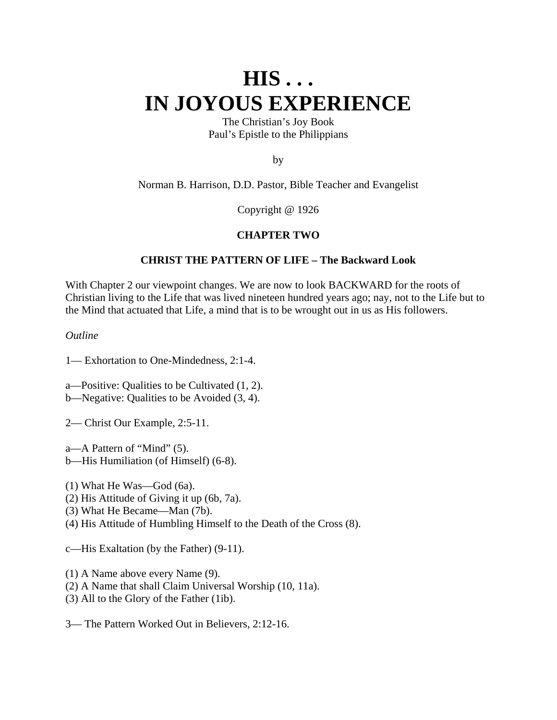# **HIS . . . IN JOYOUS EXPERIENCE**

The Christian's Joy Book Paul's Epistle to the Philippians

by

Norman B. Harrison, D.D. Pastor, Bible Teacher and Evangelist

Copyright @ 1926

## **CHAPTER TWO**

## **CHRIST THE PATTERN OF LIFE – The Backward Look**

With Chapter 2 our viewpoint changes. We are now to look BACKWARD for the roots of Christian living to the Life that was lived nineteen hundred years ago; nay, not to the Life but to the Mind that actuated that Life, a mind that is to be wrought out in us as His followers.

*Outline*

1— Exhortation to One-Mindedness, 2:1-4.

a—Positive: Qualities to be Cultivated (1, 2).

- b—Negative: Qualities to be Avoided (3, 4).
- 2— Christ Our Example, 2:5-11.
- a—A Pattern of "Mind" (5). b—His Humiliation (of Himself) (6-8).
- (1) What He Was—God (6a).
- (2) His Attitude of Giving it up (6b, 7a).
- (3) What He Became—Man (7b).
- (4) His Attitude of Humbling Himself to the Death of the Cross (8).

c—His Exaltation (by the Father) (9-11).

(1) A Name above every Name (9).

- (2) A Name that shall Claim Universal Worship (10, 11a).
- (3) All to the Glory of the Father (1ib).

3— The Pattern Worked Out in Believers, 2:12-16.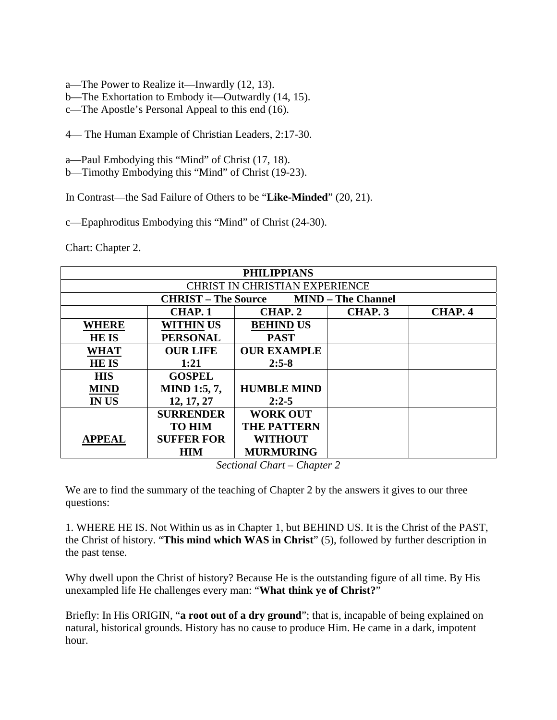- a—The Power to Realize it—Inwardly (12, 13).
- b—The Exhortation to Embody it—Outwardly (14, 15).
- c—The Apostle's Personal Appeal to this end (16).
- 4— The Human Example of Christian Leaders, 2:17-30.
- a—Paul Embodying this "Mind" of Christ (17, 18).
- b—Timothy Embodying this "Mind" of Christ (19-23).

In Contrast—the Sad Failure of Others to be "**Like-Minded**" (20, 21).

c—Epaphroditus Embodying this "Mind" of Christ (24-30).

Chart: Chapter 2.

| <b>PHILIPPIANS</b>                                      |                     |                    |         |         |  |  |
|---------------------------------------------------------|---------------------|--------------------|---------|---------|--|--|
| <b>CHRIST IN CHRISTIAN EXPERIENCE</b>                   |                     |                    |         |         |  |  |
| <b>MIND</b> – The Channel<br><b>CHRIST – The Source</b> |                     |                    |         |         |  |  |
|                                                         | CHAP. 1             | CHAP. 2            | CHAP. 3 | CHAP. 4 |  |  |
| <b>WHERE</b>                                            | <b>WITHIN US</b>    | <b>BEHIND US</b>   |         |         |  |  |
| <b>HEIS</b>                                             | <b>PERSONAL</b>     | <b>PAST</b>        |         |         |  |  |
| <b>WHAT</b>                                             | <b>OUR LIFE</b>     | <b>OUR EXAMPLE</b> |         |         |  |  |
| <b>HEIS</b>                                             | 1:21                | $2:5-8$            |         |         |  |  |
| <b>HIS</b>                                              | <b>GOSPEL</b>       |                    |         |         |  |  |
| <b>MIND</b>                                             | <b>MIND 1:5, 7,</b> | <b>HUMBLE MIND</b> |         |         |  |  |
| <b>IN US</b>                                            | 12, 17, 27          | $2:2-5$            |         |         |  |  |
|                                                         | <b>SURRENDER</b>    | <b>WORK OUT</b>    |         |         |  |  |
|                                                         | <b>TO HIM</b>       | <b>THE PATTERN</b> |         |         |  |  |
| <b>APPEAL</b>                                           | <b>SUFFER FOR</b>   | <b>WITHOUT</b>     |         |         |  |  |
|                                                         | <b>HIM</b>          | <b>MURMURING</b>   |         |         |  |  |

*Sectional Chart – Chapter 2* 

We are to find the summary of the teaching of Chapter 2 by the answers it gives to our three questions:

1. WHERE HE IS. Not Within us as in Chapter 1, but BEHIND US. It is the Christ of the PAST, the Christ of history. "**This mind which WAS in Christ**" (5), followed by further description in the past tense.

Why dwell upon the Christ of history? Because He is the outstanding figure of all time. By His unexampled life He challenges every man: "**What think ye of Christ?**"

Briefly: In His ORIGIN, "**a root out of a dry ground**"; that is, incapable of being explained on natural, historical grounds. History has no cause to produce Him. He came in a dark, impotent hour.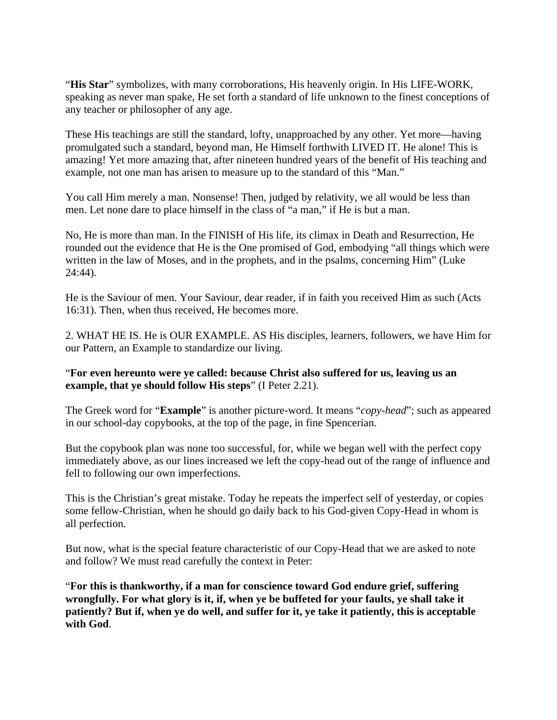"**His Star**" symbolizes, with many corroborations, His heavenly origin. In His LIFE-WORK, speaking as never man spake, He set forth a standard of life unknown to the finest conceptions of any teacher or philosopher of any age.

These His teachings are still the standard, lofty, unapproached by any other. Yet more—having promulgated such a standard, beyond man, He Himself forthwith LIVED IT. He alone! This is amazing! Yet more amazing that, after nineteen hundred years of the benefit of His teaching and example, not one man has arisen to measure up to the standard of this "Man."

You call Him merely a man. Nonsense! Then, judged by relativity, we all would be less than men. Let none dare to place himself in the class of "a man," if He is but a man.

No, He is more than man. In the FINISH of His life, its climax in Death and Resurrection, He rounded out the evidence that He is the One promised of God, embodying "all things which were written in the law of Moses, and in the prophets, and in the psalms, concerning Him" (Luke 24:44).

He is the Saviour of men. Your Saviour, dear reader, if in faith you received Him as such (Acts 16:31). Then, when thus received, He becomes more.

2. WHAT HE IS. He is OUR EXAMPLE. AS His disciples, learners, followers, we have Him for our Pattern, an Example to standardize our living.

## "**For even hereunto were ye called: because Christ also suffered for us, leaving us an example, that ye should follow His steps**" (I Peter 2.21).

The Greek word for "**Example**" is another picture-word. It means "*copy-head*"; such as appeared in our school-day copybooks, at the top of the page, in fine Spencerian.

But the copybook plan was none too successful, for, while we began well with the perfect copy immediately above, as our lines increased we left the copy-head out of the range of influence and fell to following our own imperfections.

This is the Christian's great mistake. Today he repeats the imperfect self of yesterday, or copies some fellow-Christian, when he should go daily back to his God-given Copy-Head in whom is all perfection.

But now, what is the special feature characteristic of our Copy-Head that we are asked to note and follow? We must read carefully the context in Peter:

"**For this is thankworthy, if a man for conscience toward God endure grief, suffering wrongfully. For what glory is it, if, when ye be buffeted for your faults, ye shall take it patiently? But if, when ye do well, and suffer for it, ye take it patiently, this is acceptable with God**.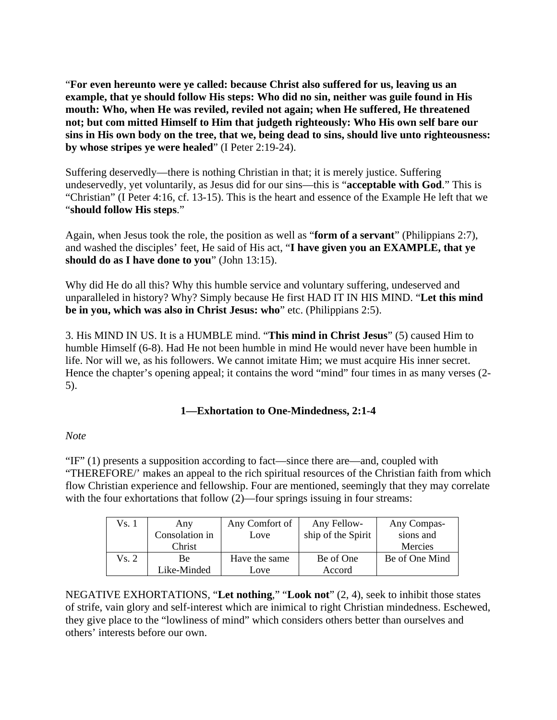"**For even hereunto were ye called: because Christ also suffered for us, leaving us an example, that ye should follow His steps: Who did no sin, neither was guile found in His mouth: Who, when He was reviled, reviled not again; when He suffered, He threatened not; but com mitted Himself to Him that judgeth righteously: Who His own self bare our sins in His own body on the tree, that we, being dead to sins, should live unto righteousness: by whose stripes ye were healed**" (I Peter 2:19-24).

Suffering deservedly—there is nothing Christian in that; it is merely justice. Suffering undeservedly, yet voluntarily, as Jesus did for our sins—this is "**acceptable with God**." This is "Christian" (I Peter 4:16, cf. 13-15). This is the heart and essence of the Example He left that we "**should follow His steps**."

Again, when Jesus took the role, the position as well as "**form of a servant**" (Philippians 2:7), and washed the disciples' feet, He said of His act, "**I have given you an EXAMPLE, that ye should do as I have done to you**" (John 13:15).

Why did He do all this? Why this humble service and voluntary suffering, undeserved and unparalleled in history? Why? Simply because He first HAD IT IN HIS MIND. "**Let this mind be in you, which was also in Christ Jesus: who**" etc. (Philippians 2:5).

3. His MIND IN US. It is a HUMBLE mind. "**This mind in Christ Jesus**" (5) caused Him to humble Himself (6-8). Had He not been humble in mind He would never have been humble in life. Nor will we, as his followers. We cannot imitate Him; we must acquire His inner secret. Hence the chapter's opening appeal; it contains the word "mind" four times in as many verses (2- 5).

## **1—Exhortation to One-Mindedness, 2:1-4**

## *Note*

"IF" (1) presents a supposition according to fact—since there are—and, coupled with "THEREFORE/' makes an appeal to the rich spiritual resources of the Christian faith from which flow Christian experience and fellowship. Four are mentioned, seemingly that they may correlate with the four exhortations that follow  $(2)$ —four springs issuing in four streams:

| Vs. 1 | Any            | Any Comfort of | Any Fellow-        | Any Compas-    |
|-------|----------------|----------------|--------------------|----------------|
|       | Consolation in | Love           | ship of the Spirit | sions and      |
|       | Christ         |                |                    | Mercies        |
| Vs. 2 | Вe             | Have the same  | Be of One          | Be of One Mind |
|       | Like-Minded    | Love           | Accord             |                |

NEGATIVE EXHORTATIONS, "**Let nothing**," "**Look not**" (2, 4), seek to inhibit those states of strife, vain glory and self-interest which are inimical to right Christian mindedness. Eschewed, they give place to the "lowliness of mind" which considers others better than ourselves and others' interests before our own.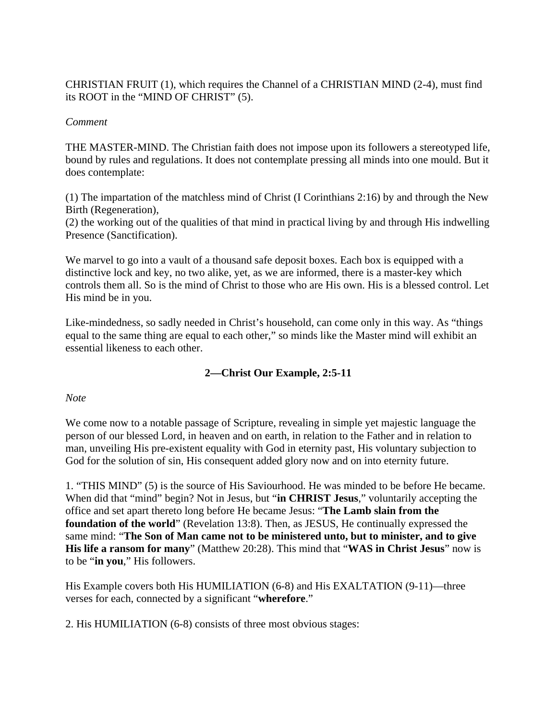CHRISTIAN FRUIT (1), which requires the Channel of a CHRISTIAN MIND (2-4), must find its ROOT in the "MIND OF CHRIST" (5).

## *Comment*

THE MASTER-MIND. The Christian faith does not impose upon its followers a stereotyped life, bound by rules and regulations. It does not contemplate pressing all minds into one mould. But it does contemplate:

(1) The impartation of the matchless mind of Christ (I Corinthians 2:16) by and through the New Birth (Regeneration),

(2) the working out of the qualities of that mind in practical living by and through His indwelling Presence (Sanctification).

We marvel to go into a vault of a thousand safe deposit boxes. Each box is equipped with a distinctive lock and key, no two alike, yet, as we are informed, there is a master-key which controls them all. So is the mind of Christ to those who are His own. His is a blessed control. Let His mind be in you.

Like-mindedness, so sadly needed in Christ's household, can come only in this way. As "things equal to the same thing are equal to each other," so minds like the Master mind will exhibit an essential likeness to each other.

# **2—Christ Our Example, 2:5-11**

## *Note*

We come now to a notable passage of Scripture, revealing in simple yet majestic language the person of our blessed Lord, in heaven and on earth, in relation to the Father and in relation to man, unveiling His pre-existent equality with God in eternity past, His voluntary subjection to God for the solution of sin, His consequent added glory now and on into eternity future.

1. "THIS MIND" (5) is the source of His Saviourhood. He was minded to be before He became. When did that "mind" begin? Not in Jesus, but "**in CHRIST Jesus**," voluntarily accepting the office and set apart thereto long before He became Jesus: "**The Lamb slain from the foundation of the world**" (Revelation 13:8). Then, as JESUS, He continually expressed the same mind: "**The Son of Man came not to be ministered unto, but to minister, and to give His life a ransom for many**" (Matthew 20:28). This mind that "**WAS in Christ Jesus**" now is to be "**in you**," His followers.

His Example covers both His HUMILIATION (6-8) and His EXALTATION (9-11)—three verses for each, connected by a significant "**wherefore**."

2. His HUMILIATION (6-8) consists of three most obvious stages: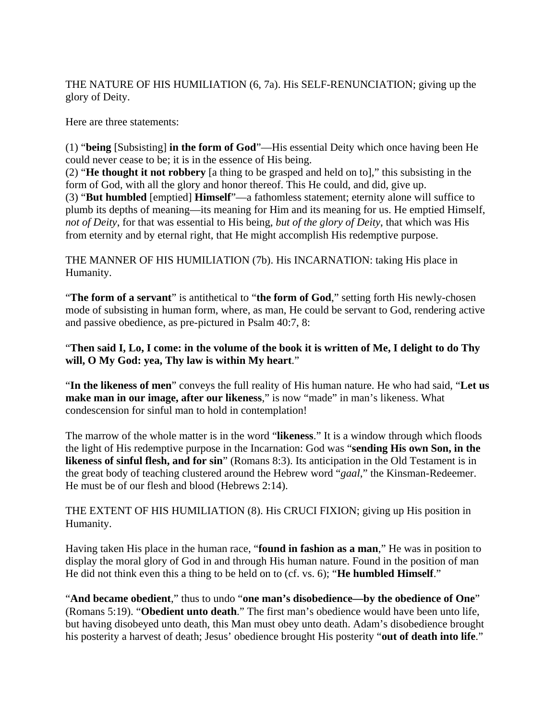THE NATURE OF HIS HUMILIATION (6, 7a). His SELF-RENUNCIATION; giving up the glory of Deity.

Here are three statements:

(1) "**being** [Subsisting] **in the form of God**"—His essential Deity which once having been He could never cease to be; it is in the essence of His being.

(2) "**He thought it not robbery** [a thing to be grasped and held on to]," this subsisting in the form of God, with all the glory and honor thereof. This He could, and did, give up. (3) "**But humbled** [emptied] **Himself**"—a fathomless statement; eternity alone will suffice to plumb its depths of meaning—its meaning for Him and its meaning for us. He emptied Himself, *not of Deity*, for that was essential to His being, *but of the glory of Deity*, that which was His from eternity and by eternal right, that He might accomplish His redemptive purpose.

THE MANNER OF HIS HUMILIATION (7b). His INCARNATION: taking His place in Humanity.

"**The form of a servant**" is antithetical to "**the form of God**," setting forth His newly-chosen mode of subsisting in human form, where, as man, He could be servant to God, rendering active and passive obedience, as pre-pictured in Psalm 40:7, 8:

## "**Then said I, Lo, I come: in the volume of the book it is written of Me, I delight to do Thy will, O My God: yea, Thy law is within My heart**."

"**In the likeness of men**" conveys the full reality of His human nature. He who had said, "**Let us make man in our image, after our likeness**," is now "made" in man's likeness. What condescension for sinful man to hold in contemplation!

The marrow of the whole matter is in the word "**likeness**." It is a window through which floods the light of His redemptive purpose in the Incarnation: God was "**sending His own Son, in the likeness of sinful flesh, and for sin**" (Romans 8:3). Its anticipation in the Old Testament is in the great body of teaching clustered around the Hebrew word "*gaal*," the Kinsman-Redeemer. He must be of our flesh and blood (Hebrews 2:14).

THE EXTENT OF HIS HUMILIATION (8). His CRUCI FIXION; giving up His position in Humanity.

Having taken His place in the human race, "**found in fashion as a man**," He was in position to display the moral glory of God in and through His human nature. Found in the position of man He did not think even this a thing to be held on to (cf. vs. 6); "**He humbled Himself**."

"**And became obedient**," thus to undo "**one man's disobedience—by the obedience of One**" (Romans 5:19). "**Obedient unto death**." The first man's obedience would have been unto life, but having disobeyed unto death, this Man must obey unto death. Adam's disobedience brought his posterity a harvest of death; Jesus' obedience brought His posterity "**out of death into life**."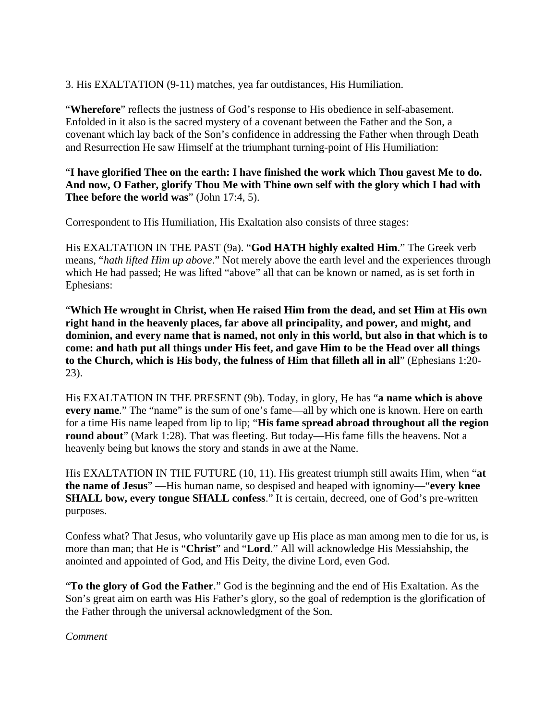3. His EXALTATION (9-11) matches, yea far outdistances, His Humiliation.

"**Wherefore**" reflects the justness of God's response to His obedience in self-abasement. Enfolded in it also is the sacred mystery of a covenant between the Father and the Son, a covenant which lay back of the Son's confidence in addressing the Father when through Death and Resurrection He saw Himself at the triumphant turning-point of His Humiliation:

## "**I have glorified Thee on the earth: I have finished the work which Thou gavest Me to do. And now, O Father, glorify Thou Me with Thine own self with the glory which I had with Thee before the world was**" (John 17:4, 5).

Correspondent to His Humiliation, His Exaltation also consists of three stages:

His EXALTATION IN THE PAST (9a). "**God HATH highly exalted Him**." The Greek verb means, "*hath lifted Him up above*." Not merely above the earth level and the experiences through which He had passed; He was lifted "above" all that can be known or named, as is set forth in Ephesians:

"**Which He wrought in Christ, when He raised Him from the dead, and set Him at His own right hand in the heavenly places, far above all principality, and power, and might, and dominion, and every name that is named, not only in this world, but also in that which is to come: and hath put all things under His feet, and gave Him to be the Head over all things to the Church, which is His body, the fulness of Him that filleth all in all**" (Ephesians 1:20- 23).

His EXALTATION IN THE PRESENT (9b). Today, in glory, He has "**a name which is above every name**." The "name" is the sum of one's fame—all by which one is known. Here on earth for a time His name leaped from lip to lip; "**His fame spread abroad throughout all the region round about**" (Mark 1:28). That was fleeting. But today—His fame fills the heavens. Not a heavenly being but knows the story and stands in awe at the Name.

His EXALTATION IN THE FUTURE (10, 11). His greatest triumph still awaits Him, when "**at the name of Jesus**" —His human name, so despised and heaped with ignominy—"**every knee SHALL bow, every tongue SHALL confess**." It is certain, decreed, one of God's pre-written purposes.

Confess what? That Jesus, who voluntarily gave up His place as man among men to die for us, is more than man; that He is "**Christ**" and "**Lord**." All will acknowledge His Messiahship, the anointed and appointed of God, and His Deity, the divine Lord, even God.

"**To the glory of God the Father**." God is the beginning and the end of His Exaltation. As the Son's great aim on earth was His Father's glory, so the goal of redemption is the glorification of the Father through the universal acknowledgment of the Son.

*Comment*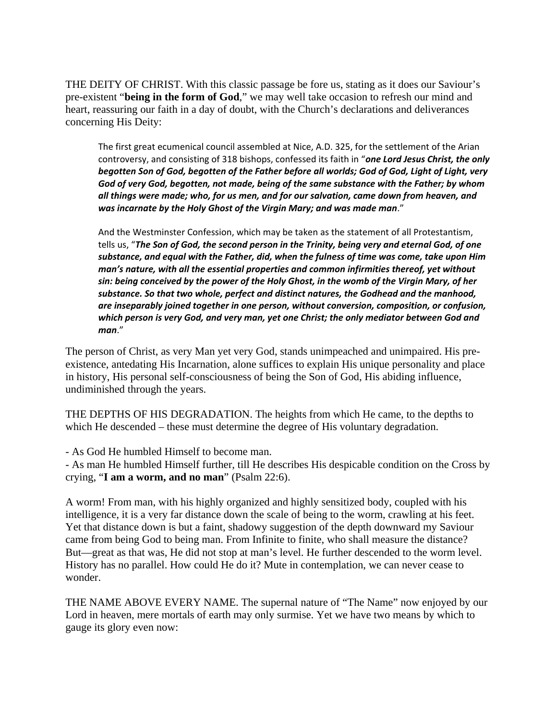THE DEITY OF CHRIST. With this classic passage be fore us, stating as it does our Saviour's pre-existent "**being in the form of God**," we may well take occasion to refresh our mind and heart, reassuring our faith in a day of doubt, with the Church's declarations and deliverances concerning His Deity:

The first great ecumenical council assembled at Nice, A.D. 325, for the settlement of the Arian controversy, and consisting of 318 bishops, confessed its faith in "*one Lord Jesus Christ, the only begotten Son of God, begotten of the Father before all worlds; God of God, Light of Light, very God of very God, begotten, not made, being of the same substance with the Father; by whom all things were made; who, for us men, and for our salvation, came down from heaven, and was incarnate by the Holy Ghost of the Virgin Mary; and was made man*."

And the Westminster Confession, which may be taken as the statement of all Protestantism, tells us, "*The Son of God, the second person in the Trinity, being very and eternal God, of one substance, and equal with the Father, did, when the fulness of time was come, take upon Him man's nature, with all the essential properties and common infirmities thereof, yet without sin: being conceived by the power of the Holy Ghost, in the womb of the Virgin Mary, of her substance. So that two whole, perfect and distinct natures, the Godhead and the manhood, are inseparably joined together in one person, without conversion, composition, or confusion, which person is very God, and very man, yet one Christ; the only mediator between God and man*."

The person of Christ, as very Man yet very God, stands unimpeached and unimpaired. His preexistence, antedating His Incarnation, alone suffices to explain His unique personality and place in history, His personal self-consciousness of being the Son of God, His abiding influence, undiminished through the years.

THE DEPTHS OF HIS DEGRADATION. The heights from which He came, to the depths to which He descended – these must determine the degree of His voluntary degradation.

- As God He humbled Himself to become man.

- As man He humbled Himself further, till He describes His despicable condition on the Cross by crying, "**I am a worm, and no man**" (Psalm 22:6).

A worm! From man, with his highly organized and highly sensitized body, coupled with his intelligence, it is a very far distance down the scale of being to the worm, crawling at his feet. Yet that distance down is but a faint, shadowy suggestion of the depth downward my Saviour came from being God to being man. From Infinite to finite, who shall measure the distance? But—great as that was, He did not stop at man's level. He further descended to the worm level. History has no parallel. How could He do it? Mute in contemplation, we can never cease to wonder.

THE NAME ABOVE EVERY NAME. The supernal nature of "The Name" now enjoyed by our Lord in heaven, mere mortals of earth may only surmise. Yet we have two means by which to gauge its glory even now: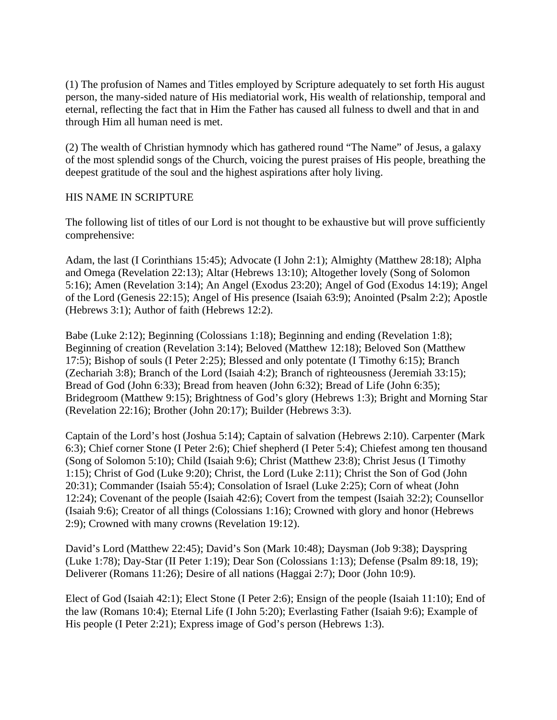(1) The profusion of Names and Titles employed by Scripture adequately to set forth His august person, the many-sided nature of His mediatorial work, His wealth of relationship, temporal and eternal, reflecting the fact that in Him the Father has caused all fulness to dwell and that in and through Him all human need is met.

(2) The wealth of Christian hymnody which has gathered round "The Name" of Jesus, a galaxy of the most splendid songs of the Church, voicing the purest praises of His people, breathing the deepest gratitude of the soul and the highest aspirations after holy living.

## HIS NAME IN SCRIPTURE

The following list of titles of our Lord is not thought to be exhaustive but will prove sufficiently comprehensive:

Adam, the last (I Corinthians 15:45); Advocate (I John 2:1); Almighty (Matthew 28:18); Alpha and Omega (Revelation 22:13); Altar (Hebrews 13:10); Altogether lovely (Song of Solomon 5:16); Amen (Revelation 3:14); An Angel (Exodus 23:20); Angel of God (Exodus 14:19); Angel of the Lord (Genesis 22:15); Angel of His presence (Isaiah 63:9); Anointed (Psalm 2:2); Apostle (Hebrews 3:1); Author of faith (Hebrews 12:2).

Babe (Luke 2:12); Beginning (Colossians 1:18); Beginning and ending (Revelation 1:8); Beginning of creation (Revelation 3:14); Beloved (Matthew 12:18); Beloved Son (Matthew 17:5); Bishop of souls (I Peter 2:25); Blessed and only potentate (I Timothy 6:15); Branch (Zechariah 3:8); Branch of the Lord (Isaiah 4:2); Branch of righteousness (Jeremiah 33:15); Bread of God (John 6:33); Bread from heaven (John 6:32); Bread of Life (John 6:35); Bridegroom (Matthew 9:15); Brightness of God's glory (Hebrews 1:3); Bright and Morning Star (Revelation 22:16); Brother (John 20:17); Builder (Hebrews 3:3).

Captain of the Lord's host (Joshua 5:14); Captain of salvation (Hebrews 2:10). Carpenter (Mark 6:3); Chief corner Stone (I Peter 2:6); Chief shepherd (I Peter 5:4); Chiefest among ten thousand (Song of Solomon 5:10); Child (Isaiah 9:6); Christ (Matthew 23:8); Christ Jesus (I Timothy 1:15); Christ of God (Luke 9:20); Christ, the Lord (Luke 2:11); Christ the Son of God (John 20:31); Commander (Isaiah 55:4); Consolation of Israel (Luke 2:25); Corn of wheat (John 12:24); Covenant of the people (Isaiah 42:6); Covert from the tempest (Isaiah 32:2); Counsellor (Isaiah 9:6); Creator of all things (Colossians 1:16); Crowned with glory and honor (Hebrews 2:9); Crowned with many crowns (Revelation 19:12).

David's Lord (Matthew 22:45); David's Son (Mark 10:48); Daysman (Job 9:38); Dayspring (Luke 1:78); Day-Star (II Peter 1:19); Dear Son (Colossians 1:13); Defense (Psalm 89:18, 19); Deliverer (Romans 11:26); Desire of all nations (Haggai 2:7); Door (John 10:9).

Elect of God (Isaiah 42:1); Elect Stone (I Peter 2:6); Ensign of the people (Isaiah 11:10); End of the law (Romans 10:4); Eternal Life (I John 5:20); Everlasting Father (Isaiah 9:6); Example of His people (I Peter 2:21); Express image of God's person (Hebrews 1:3).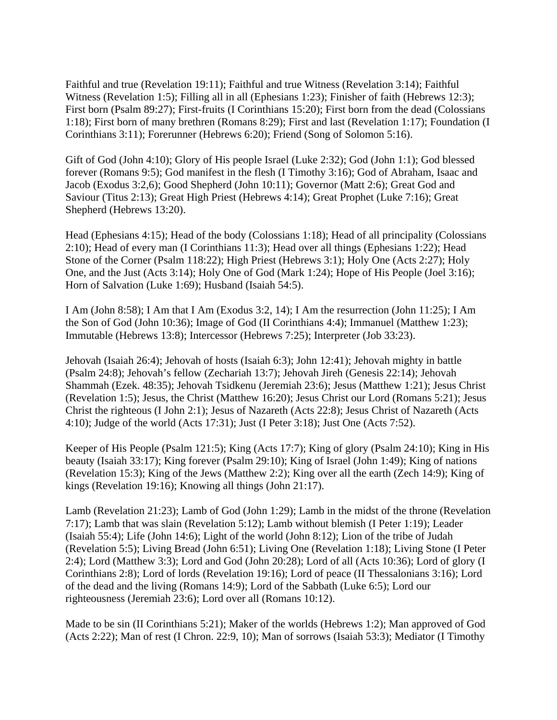Faithful and true (Revelation 19:11); Faithful and true Witness (Revelation 3:14); Faithful Witness (Revelation 1:5); Filling all in all (Ephesians 1:23); Finisher of faith (Hebrews 12:3); First born (Psalm 89:27); First-fruits (I Corinthians 15:20); First born from the dead (Colossians 1:18); First born of many brethren (Romans 8:29); First and last (Revelation 1:17); Foundation (I Corinthians 3:11); Forerunner (Hebrews 6:20); Friend (Song of Solomon 5:16).

Gift of God (John 4:10); Glory of His people Israel (Luke 2:32); God (John 1:1); God blessed forever (Romans 9:5); God manifest in the flesh (I Timothy 3:16); God of Abraham, Isaac and Jacob (Exodus 3:2,6); Good Shepherd (John 10:11); Governor (Matt 2:6); Great God and Saviour (Titus 2:13); Great High Priest (Hebrews 4:14); Great Prophet (Luke 7:16); Great Shepherd (Hebrews 13:20).

Head (Ephesians 4:15); Head of the body (Colossians 1:18); Head of all principality (Colossians 2:10); Head of every man (I Corinthians 11:3); Head over all things (Ephesians 1:22); Head Stone of the Corner (Psalm 118:22); High Priest (Hebrews 3:1); Holy One (Acts 2:27); Holy One, and the Just (Acts 3:14); Holy One of God (Mark 1:24); Hope of His People (Joel 3:16); Horn of Salvation (Luke 1:69); Husband (Isaiah 54:5).

I Am (John 8:58); I Am that I Am (Exodus 3:2, 14); I Am the resurrection (John 11:25); I Am the Son of God (John 10:36); Image of God (II Corinthians 4:4); Immanuel (Matthew 1:23); Immutable (Hebrews 13:8); Intercessor (Hebrews 7:25); Interpreter (Job 33:23).

Jehovah (Isaiah 26:4); Jehovah of hosts (Isaiah 6:3); John 12:41); Jehovah mighty in battle (Psalm 24:8); Jehovah's fellow (Zechariah 13:7); Jehovah Jireh (Genesis 22:14); Jehovah Shammah (Ezek. 48:35); Jehovah Tsidkenu (Jeremiah 23:6); Jesus (Matthew 1:21); Jesus Christ (Revelation 1:5); Jesus, the Christ (Matthew 16:20); Jesus Christ our Lord (Romans 5:21); Jesus Christ the righteous (I John 2:1); Jesus of Nazareth (Acts 22:8); Jesus Christ of Nazareth (Acts 4:10); Judge of the world (Acts 17:31); Just (I Peter 3:18); Just One (Acts 7:52).

Keeper of His People (Psalm 121:5); King (Acts 17:7); King of glory (Psalm 24:10); King in His beauty (Isaiah 33:17); King forever (Psalm 29:10); King of Israel (John 1:49); King of nations (Revelation 15:3); King of the Jews (Matthew 2:2); King over all the earth (Zech 14:9); King of kings (Revelation 19:16); Knowing all things (John 21:17).

Lamb (Revelation 21:23); Lamb of God (John 1:29); Lamb in the midst of the throne (Revelation 7:17); Lamb that was slain (Revelation 5:12); Lamb without blemish (I Peter 1:19); Leader (Isaiah 55:4); Life (John 14:6); Light of the world (John 8:12); Lion of the tribe of Judah (Revelation 5:5); Living Bread (John 6:51); Living One (Revelation 1:18); Living Stone (I Peter 2:4); Lord (Matthew 3:3); Lord and God (John 20:28); Lord of all (Acts 10:36); Lord of glory (I Corinthians 2:8); Lord of lords (Revelation 19:16); Lord of peace (II Thessalonians 3:16); Lord of the dead and the living (Romans 14:9); Lord of the Sabbath (Luke 6:5); Lord our righteousness (Jeremiah 23:6); Lord over all (Romans 10:12).

Made to be sin (II Corinthians 5:21); Maker of the worlds (Hebrews 1:2); Man approved of God (Acts 2:22); Man of rest (I Chron. 22:9, 10); Man of sorrows (Isaiah 53:3); Mediator (I Timothy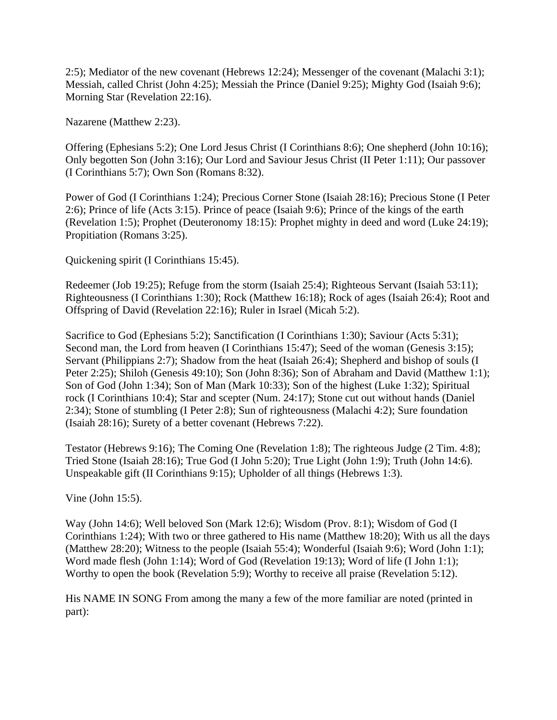2:5); Mediator of the new covenant (Hebrews 12:24); Messenger of the covenant (Malachi 3:1); Messiah, called Christ (John 4:25); Messiah the Prince (Daniel 9:25); Mighty God (Isaiah 9:6); Morning Star (Revelation 22:16).

Nazarene (Matthew 2:23).

Offering (Ephesians 5:2); One Lord Jesus Christ (I Corinthians 8:6); One shepherd (John 10:16); Only begotten Son (John 3:16); Our Lord and Saviour Jesus Christ (II Peter 1:11); Our passover (I Corinthians 5:7); Own Son (Romans 8:32).

Power of God (I Corinthians 1:24); Precious Corner Stone (Isaiah 28:16); Precious Stone (I Peter 2:6); Prince of life (Acts 3:15). Prince of peace (Isaiah 9:6); Prince of the kings of the earth (Revelation 1:5); Prophet (Deuteronomy 18:15): Prophet mighty in deed and word (Luke 24:19); Propitiation (Romans 3:25).

Quickening spirit (I Corinthians 15:45).

Redeemer (Job 19:25); Refuge from the storm (Isaiah 25:4); Righteous Servant (Isaiah 53:11); Righteousness (I Corinthians 1:30); Rock (Matthew 16:18); Rock of ages (Isaiah 26:4); Root and Offspring of David (Revelation 22:16); Ruler in Israel (Micah 5:2).

Sacrifice to God (Ephesians 5:2); Sanctification (I Corinthians 1:30); Saviour (Acts 5:31); Second man, the Lord from heaven (I Corinthians 15:47); Seed of the woman (Genesis 3:15); Servant (Philippians 2:7); Shadow from the heat (Isaiah 26:4); Shepherd and bishop of souls (I Peter 2:25); Shiloh (Genesis 49:10); Son (John 8:36); Son of Abraham and David (Matthew 1:1); Son of God (John 1:34); Son of Man (Mark 10:33); Son of the highest (Luke 1:32); Spiritual rock (I Corinthians 10:4); Star and scepter (Num. 24:17); Stone cut out without hands (Daniel 2:34); Stone of stumbling (I Peter 2:8); Sun of righteousness (Malachi 4:2); Sure foundation (Isaiah 28:16); Surety of a better covenant (Hebrews 7:22).

Testator (Hebrews 9:16); The Coming One (Revelation 1:8); The righteous Judge (2 Tim. 4:8); Tried Stone (Isaiah 28:16); True God (I John 5:20); True Light (John 1:9); Truth (John 14:6). Unspeakable gift (II Corinthians 9:15); Upholder of all things (Hebrews 1:3).

Vine (John 15:5).

Way (John 14:6); Well beloved Son (Mark 12:6); Wisdom (Prov. 8:1); Wisdom of God (I Corinthians 1:24); With two or three gathered to His name (Matthew 18:20); With us all the days (Matthew 28:20); Witness to the people (Isaiah 55:4); Wonderful (Isaiah 9:6); Word (John 1:1); Word made flesh (John 1:14); Word of God (Revelation 19:13); Word of life (I John 1:1); Worthy to open the book (Revelation 5:9); Worthy to receive all praise (Revelation 5:12).

His NAME IN SONG From among the many a few of the more familiar are noted (printed in part):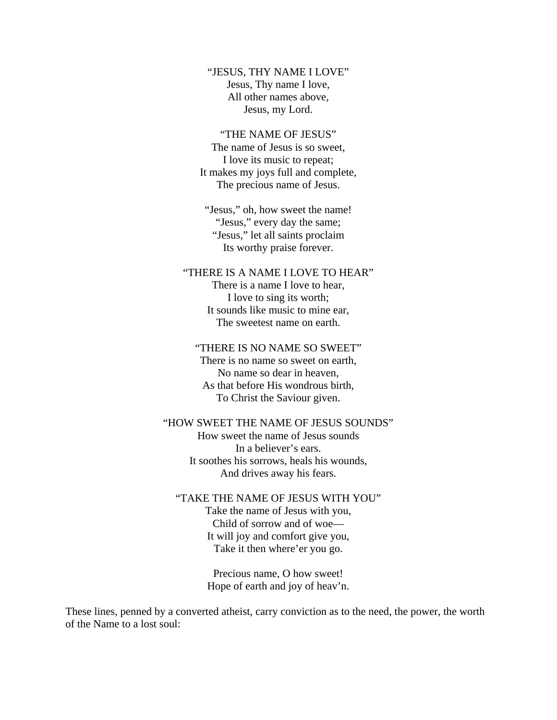"JESUS, THY NAME I LOVE" Jesus, Thy name I love, All other names above, Jesus, my Lord.

#### "THE NAME OF JESUS"

The name of Jesus is so sweet, I love its music to repeat; It makes my joys full and complete, The precious name of Jesus.

"Jesus," oh, how sweet the name! "Jesus," every day the same; "Jesus," let all saints proclaim Its worthy praise forever.

"THERE IS A NAME I LOVE TO HEAR"

There is a name I love to hear, I love to sing its worth; It sounds like music to mine ear, The sweetest name on earth.

#### "THERE IS NO NAME SO SWEET"

There is no name so sweet on earth, No name so dear in heaven, As that before His wondrous birth, To Christ the Saviour given.

#### "HOW SWEET THE NAME OF JESUS SOUNDS"

How sweet the name of Jesus sounds In a believer's ears. It soothes his sorrows, heals his wounds, And drives away his fears.

#### "TAKE THE NAME OF JESUS WITH YOU"

Take the name of Jesus with you, Child of sorrow and of woe— It will joy and comfort give you, Take it then where'er you go.

Precious name, O how sweet! Hope of earth and joy of heav'n.

These lines, penned by a converted atheist, carry conviction as to the need, the power, the worth of the Name to a lost soul: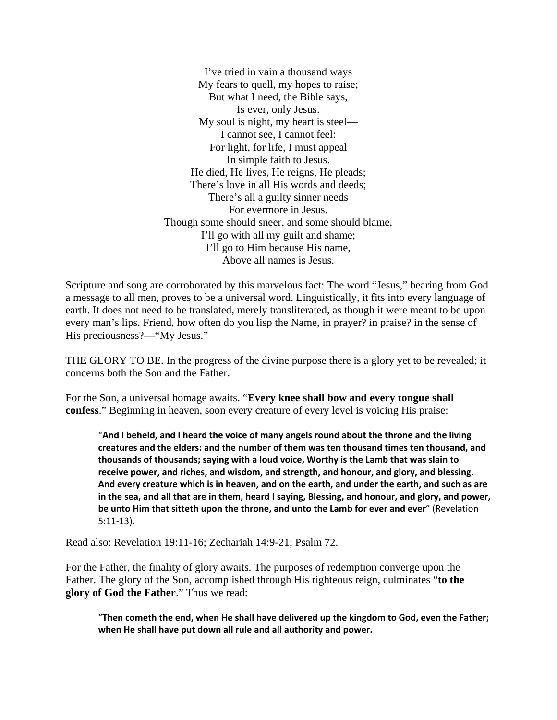I've tried in vain a thousand ways My fears to quell, my hopes to raise; But what I need, the Bible says, Is ever, only Jesus. My soul is night, my heart is steel— I cannot see, I cannot feel: For light, for life, I must appeal In simple faith to Jesus. He died, He lives, He reigns, He pleads; There's love in all His words and deeds; There's all a guilty sinner needs For evermore in Jesus. Though some should sneer, and some should blame, I'll go with all my guilt and shame; I'll go to Him because His name, Above all names is Jesus.

Scripture and song are corroborated by this marvelous fact: The word "Jesus," bearing from God a message to all men, proves to be a universal word. Linguistically, it fits into every language of earth. It does not need to be translated, merely transliterated, as though it were meant to be upon every man's lips. Friend, how often do you lisp the Name, in prayer? in praise? in the sense of His preciousness?—"My Jesus."

THE GLORY TO BE. In the progress of the divine purpose there is a glory yet to be revealed; it concerns both the Son and the Father.

For the Son, a universal homage awaits. "**Every knee shall bow and every tongue shall confess**." Beginning in heaven, soon every creature of every level is voicing His praise:

"**And I beheld, and I heard the voice of many angels round about the throne and the living creatures and the elders: and the number of them was ten thousand times ten thousand, and thousands of thousands; saying with a loud voice, Worthy is the Lamb that was slain to receive power, and riches, and wisdom, and strength, and honour, and glory, and blessing. And every creature which is in heaven, and on the earth, and under the earth, and such as are in the sea, and all that are in them, heard I saying, Blessing, and honour, and glory, and power, be unto Him that sitteth upon the throne, and unto the Lamb for ever and ever**" (Revelation 5:11-13).

Read also: Revelation 19:11-16; Zechariah 14:9-21; Psalm 72.

For the Father, the finality of glory awaits. The purposes of redemption converge upon the Father. The glory of the Son, accomplished through His righteous reign, culminates "**to the glory of God the Father**." Thus we read:

"**Then cometh the end, when He shall have delivered up the kingdom to God, even the Father; when He shall have put down all rule and all authority and power.**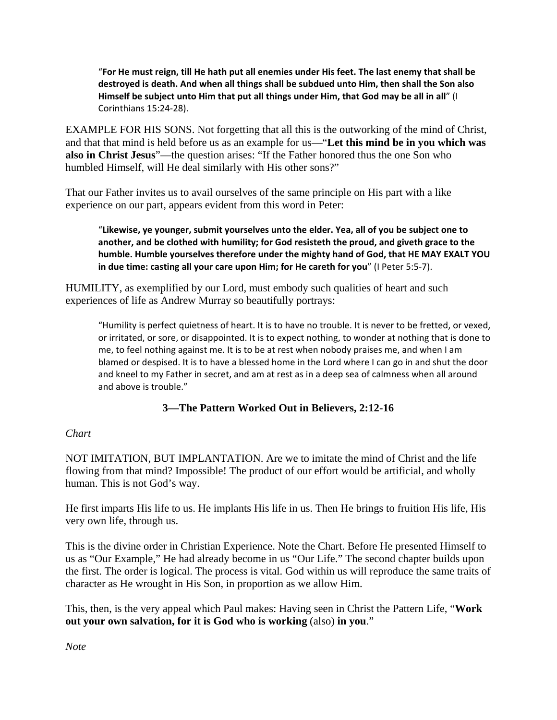"**For He must reign, till He hath put all enemies under His feet. The last enemy that shall be destroyed is death. And when all things shall be subdued unto Him, then shall the Son also Himself be subject unto Him that put all things under Him, that God may be all in all**" (I Corinthians 15:24-28).

EXAMPLE FOR HIS SONS. Not forgetting that all this is the outworking of the mind of Christ, and that that mind is held before us as an example for us—"**Let this mind be in you which was also in Christ Jesus**"—the question arises: "If the Father honored thus the one Son who humbled Himself, will He deal similarly with His other sons?"

That our Father invites us to avail ourselves of the same principle on His part with a like experience on our part, appears evident from this word in Peter:

"**Likewise, ye younger, submit yourselves unto the elder. Yea, all of you be subject one to another, and be clothed with humility; for God resisteth the proud, and giveth grace to the humble. Humble yourselves therefore under the mighty hand of God, that HE MAY EXALT YOU in due time: casting all your care upon Him; for He careth for you**" (I Peter 5:5-7).

HUMILITY, as exemplified by our Lord, must embody such qualities of heart and such experiences of life as Andrew Murray so beautifully portrays:

"Humility is perfect quietness of heart. It is to have no trouble. It is never to be fretted, or vexed, or irritated, or sore, or disappointed. It is to expect nothing, to wonder at nothing that is done to me, to feel nothing against me. It is to be at rest when nobody praises me, and when I am blamed or despised. It is to have a blessed home in the Lord where I can go in and shut the door and kneel to my Father in secret, and am at rest as in a deep sea of calmness when all around and above is trouble."

## **3—The Pattern Worked Out in Believers, 2:12-16**

## *Chart*

NOT IMITATION, BUT IMPLANTATION. Are we to imitate the mind of Christ and the life flowing from that mind? Impossible! The product of our effort would be artificial, and wholly human. This is not God's way.

He first imparts His life to us. He implants His life in us. Then He brings to fruition His life, His very own life, through us.

This is the divine order in Christian Experience. Note the Chart. Before He presented Himself to us as "Our Example," He had already become in us "Our Life." The second chapter builds upon the first. The order is logical. The process is vital. God within us will reproduce the same traits of character as He wrought in His Son, in proportion as we allow Him.

This, then, is the very appeal which Paul makes: Having seen in Christ the Pattern Life, "**Work out your own salvation, for it is God who is working** (also) **in you**."

*Note*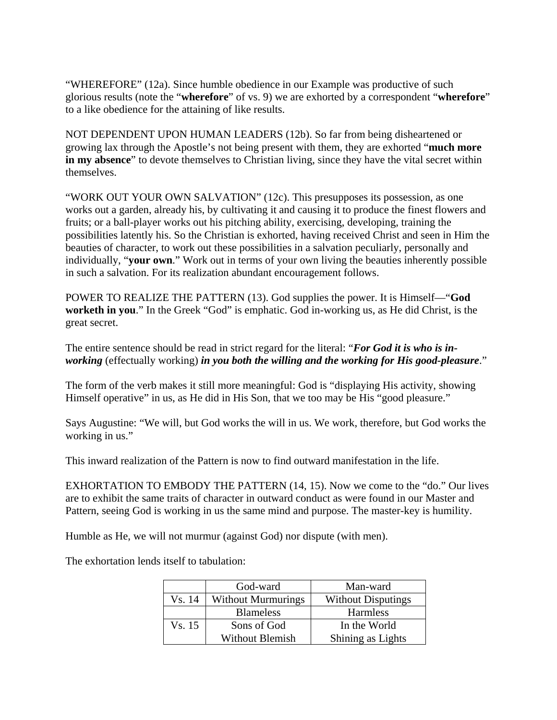"WHEREFORE" (12a). Since humble obedience in our Example was productive of such glorious results (note the "**wherefore**" of vs. 9) we are exhorted by a correspondent "**wherefore**" to a like obedience for the attaining of like results.

NOT DEPENDENT UPON HUMAN LEADERS (12b). So far from being disheartened or growing lax through the Apostle's not being present with them, they are exhorted "**much more in my absence**" to devote themselves to Christian living, since they have the vital secret within themselves.

"WORK OUT YOUR OWN SALVATION" (12c). This presupposes its possession, as one works out a garden, already his, by cultivating it and causing it to produce the finest flowers and fruits; or a ball-player works out his pitching ability, exercising, developing, training the possibilities latently his. So the Christian is exhorted, having received Christ and seen in Him the beauties of character, to work out these possibilities in a salvation peculiarly, personally and individually, "**your own**." Work out in terms of your own living the beauties inherently possible in such a salvation. For its realization abundant encouragement follows.

POWER TO REALIZE THE PATTERN (13). God supplies the power. It is Himself—"**God worketh in you**." In the Greek "God" is emphatic. God in-working us, as He did Christ, is the great secret.

The entire sentence should be read in strict regard for the literal: "*For God it is who is inworking* (effectually working) *in you both the willing and the working for His good-pleasure*."

The form of the verb makes it still more meaningful: God is "displaying His activity, showing Himself operative" in us, as He did in His Son, that we too may be His "good pleasure."

Says Augustine: "We will, but God works the will in us. We work, therefore, but God works the working in us."

This inward realization of the Pattern is now to find outward manifestation in the life.

EXHORTATION TO EMBODY THE PATTERN (14, 15). Now we come to the "do." Our lives are to exhibit the same traits of character in outward conduct as were found in our Master and Pattern, seeing God is working in us the same mind and purpose. The master-key is humility.

Humble as He, we will not murmur (against God) nor dispute (with men).

The exhortation lends itself to tabulation:

|        | God-ward                  | Man-ward                  |  |
|--------|---------------------------|---------------------------|--|
| Vs. 14 | <b>Without Murmurings</b> | <b>Without Disputings</b> |  |
|        | <b>Blameless</b>          | Harmless                  |  |
| Vs. 15 | Sons of God               | In the World              |  |
|        | <b>Without Blemish</b>    | Shining as Lights         |  |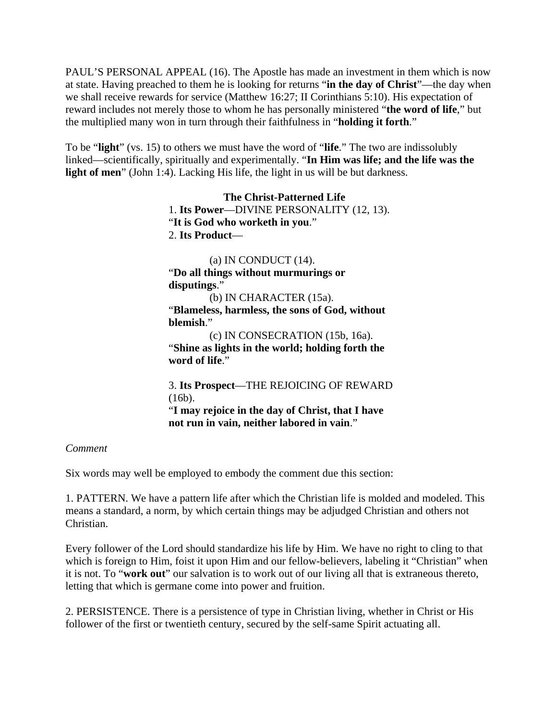PAUL'S PERSONAL APPEAL (16). The Apostle has made an investment in them which is now at state. Having preached to them he is looking for returns "**in the day of Christ**"—the day when we shall receive rewards for service (Matthew 16:27; II Corinthians 5:10). His expectation of reward includes not merely those to whom he has personally ministered "**the word of life**," but the multiplied many won in turn through their faithfulness in "**holding it forth**."

To be "**light**" (vs. 15) to others we must have the word of "**life**." The two are indissolubly linked—scientifically, spiritually and experimentally. "**In Him was life; and the life was the light of men**" (John 1:4). Lacking His life, the light in us will be but darkness.

> **The Christ-Patterned Life**  1. **Its Power**—DIVINE PERSONALITY (12, 13). "**It is God who worketh in you**." 2. **Its Product**—

 $(a)$  IN CONDUCT  $(14)$ . "**Do all things without murmurings or disputings**." (b) IN CHARACTER (15a). "**Blameless, harmless, the sons of God, without blemish**." (c) IN CONSECRATION (15b, 16a). "**Shine as lights in the world; holding forth the word of life**." 3. **Its Prospect**—THE REJOICING OF REWARD (16b).

"**I may rejoice in the day of Christ, that I have not run in vain, neither labored in vain**."

## *Comment*

Six words may well be employed to embody the comment due this section:

1. PATTERN. We have a pattern life after which the Christian life is molded and modeled. This means a standard, a norm, by which certain things may be adjudged Christian and others not Christian.

Every follower of the Lord should standardize his life by Him. We have no right to cling to that which is foreign to Him, foist it upon Him and our fellow-believers, labeling it "Christian" when it is not. To "**work out**" our salvation is to work out of our living all that is extraneous thereto, letting that which is germane come into power and fruition.

2. PERSISTENCE. There is a persistence of type in Christian living, whether in Christ or His follower of the first or twentieth century, secured by the self-same Spirit actuating all.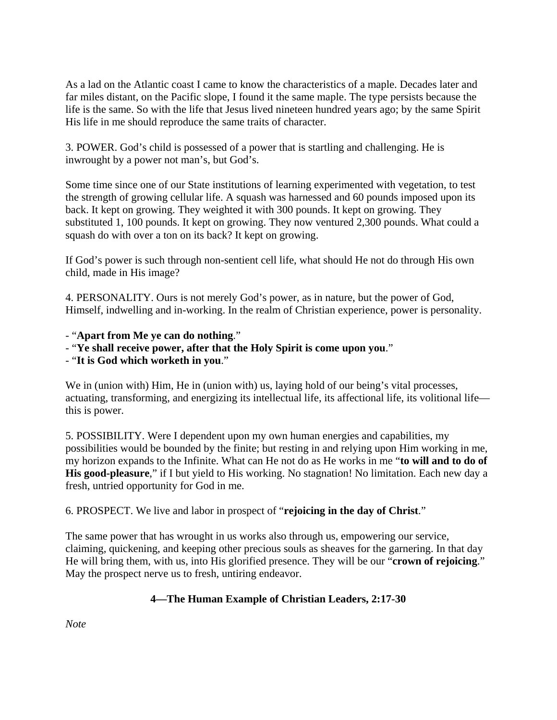As a lad on the Atlantic coast I came to know the characteristics of a maple. Decades later and far miles distant, on the Pacific slope, I found it the same maple. The type persists because the life is the same. So with the life that Jesus lived nineteen hundred years ago; by the same Spirit His life in me should reproduce the same traits of character.

3. POWER. God's child is possessed of a power that is startling and challenging. He is inwrought by a power not man's, but God's.

Some time since one of our State institutions of learning experimented with vegetation, to test the strength of growing cellular life. A squash was harnessed and 60 pounds imposed upon its back. It kept on growing. They weighted it with 300 pounds. It kept on growing. They substituted 1, 100 pounds. It kept on growing. They now ventured 2,300 pounds. What could a squash do with over a ton on its back? It kept on growing.

If God's power is such through non-sentient cell life, what should He not do through His own child, made in His image?

4. PERSONALITY. Ours is not merely God's power, as in nature, but the power of God, Himself, indwelling and in-working. In the realm of Christian experience, power is personality.

- "**Apart from Me ye can do nothing**."
- "**Ye shall receive power, after that the Holy Spirit is come upon you**."
- "**It is God which worketh in you**."

We in (union with) Him, He in (union with) us, laying hold of our being's vital processes, actuating, transforming, and energizing its intellectual life, its affectional life, its volitional life this is power.

5. POSSIBILITY. Were I dependent upon my own human energies and capabilities, my possibilities would be bounded by the finite; but resting in and relying upon Him working in me, my horizon expands to the Infinite. What can He not do as He works in me "**to will and to do of His good-pleasure**," if I but yield to His working. No stagnation! No limitation. Each new day a fresh, untried opportunity for God in me.

# 6. PROSPECT. We live and labor in prospect of "**rejoicing in the day of Christ**."

The same power that has wrought in us works also through us, empowering our service, claiming, quickening, and keeping other precious souls as sheaves for the garnering. In that day He will bring them, with us, into His glorified presence. They will be our "**crown of rejoicing**." May the prospect nerve us to fresh, untiring endeavor.

# **4—The Human Example of Christian Leaders, 2:17-30**

*Note*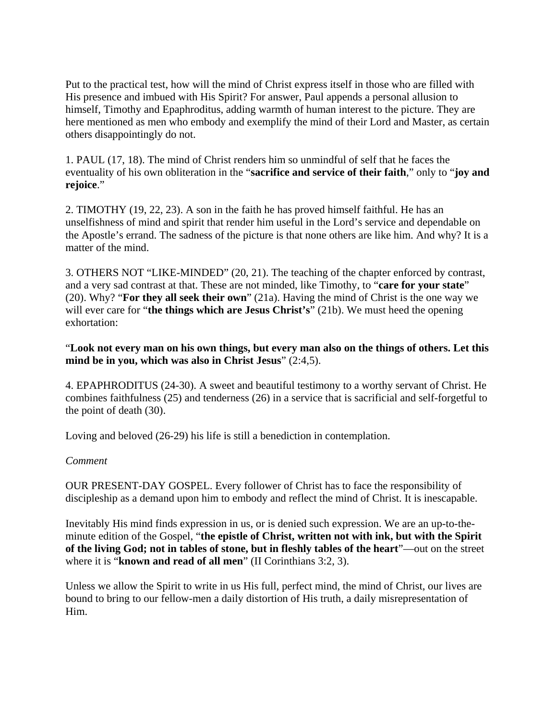Put to the practical test, how will the mind of Christ express itself in those who are filled with His presence and imbued with His Spirit? For answer, Paul appends a personal allusion to himself, Timothy and Epaphroditus, adding warmth of human interest to the picture. They are here mentioned as men who embody and exemplify the mind of their Lord and Master, as certain others disappointingly do not.

1. PAUL (17, 18). The mind of Christ renders him so unmindful of self that he faces the eventuality of his own obliteration in the "**sacrifice and service of their faith**," only to "**joy and rejoice**."

2. TIMOTHY (19, 22, 23). A son in the faith he has proved himself faithful. He has an unselfishness of mind and spirit that render him useful in the Lord's service and dependable on the Apostle's errand. The sadness of the picture is that none others are like him. And why? It is a matter of the mind.

3. OTHERS NOT "LIKE-MINDED" (20, 21). The teaching of the chapter enforced by contrast, and a very sad contrast at that. These are not minded, like Timothy, to "**care for your state**" (20). Why? "**For they all seek their own**" (21a). Having the mind of Christ is the one way we will ever care for "**the things which are Jesus Christ's**" (21b). We must heed the opening exhortation:

## "**Look not every man on his own things, but every man also on the things of others. Let this mind be in you, which was also in Christ Jesus**" (2:4,5).

4. EPAPHRODITUS (24-30). A sweet and beautiful testimony to a worthy servant of Christ. He combines faithfulness (25) and tenderness (26) in a service that is sacrificial and self-forgetful to the point of death (30).

Loving and beloved (26-29) his life is still a benediction in contemplation.

## *Comment*

OUR PRESENT-DAY GOSPEL. Every follower of Christ has to face the responsibility of discipleship as a demand upon him to embody and reflect the mind of Christ. It is inescapable.

Inevitably His mind finds expression in us, or is denied such expression. We are an up-to-theminute edition of the Gospel, "**the epistle of Christ, written not with ink, but with the Spirit of the living God; not in tables of stone, but in fleshly tables of the heart**"—out on the street where it is "**known and read of all men**" (II Corinthians 3:2, 3).

Unless we allow the Spirit to write in us His full, perfect mind, the mind of Christ, our lives are bound to bring to our fellow-men a daily distortion of His truth, a daily misrepresentation of Him.